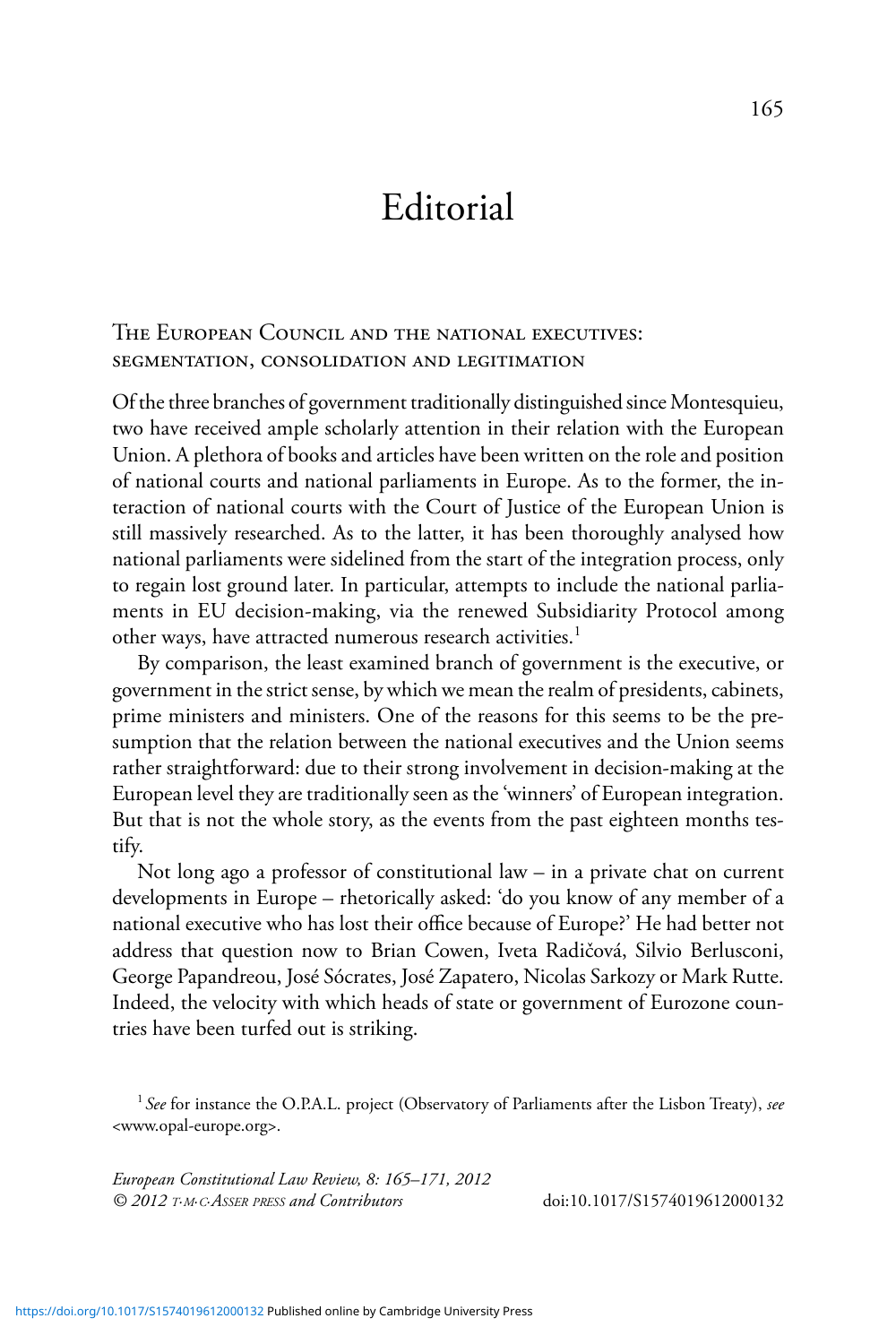# Editorial

# The European Council and the national executives: segmentation, consolidation and legitimation

Of the three branches of government traditionally distinguished since Montesquieu, two have received ample scholarly attention in their relation with the European Union. A plethora of books and articles have been written on the role and position of national courts and national parliaments in Europe. As to the former, the interaction of national courts with the Court of Justice of the European Union is still massively researched. As to the latter, it has been thoroughly analysed how national parliaments were sidelined from the start of the integration process, only to regain lost ground later. In particular, attempts to include the national parliaments in EU decision-making, via the renewed Subsidiarity Protocol among other ways, have attracted numerous research activities.<sup>1</sup>

By comparison, the least examined branch of government is the executive, or government in the strict sense, by which we mean the realm of presidents, cabinets, prime ministers and ministers. One of the reasons for this seems to be the presumption that the relation between the national executives and the Union seems rather straightforward: due to their strong involvement in decision-making at the European level they are traditionally seen as the 'winners' of European integration. But that is not the whole story, as the events from the past eighteen months testify.

Not long ago a professor of constitutional law – in a private chat on current developments in Europe – rhetorically asked: 'do you know of any member of a national executive who has lost their office because of Europe?' He had better not address that question now to Brian Cowen, Iveta Radičová, Silvio Berlusconi, George Papandreou, José Sócrates, José Zapatero, Nicolas Sarkozy or Mark Rutte. Indeed, the velocity with which heads of state or government of Eurozone countries have been turfed out is striking.

<sup>1</sup> *See* for instance the O.P.A.L. project (Observatory of Parliaments after the Lisbon Treaty), *see* <www.opal-europe.org>.

*European Constitutional Law Review, 8: 165–171, 2012 © 2012 T.M.C.ASSER PRESS and Contributors* doi:10.1017/S1574019612000132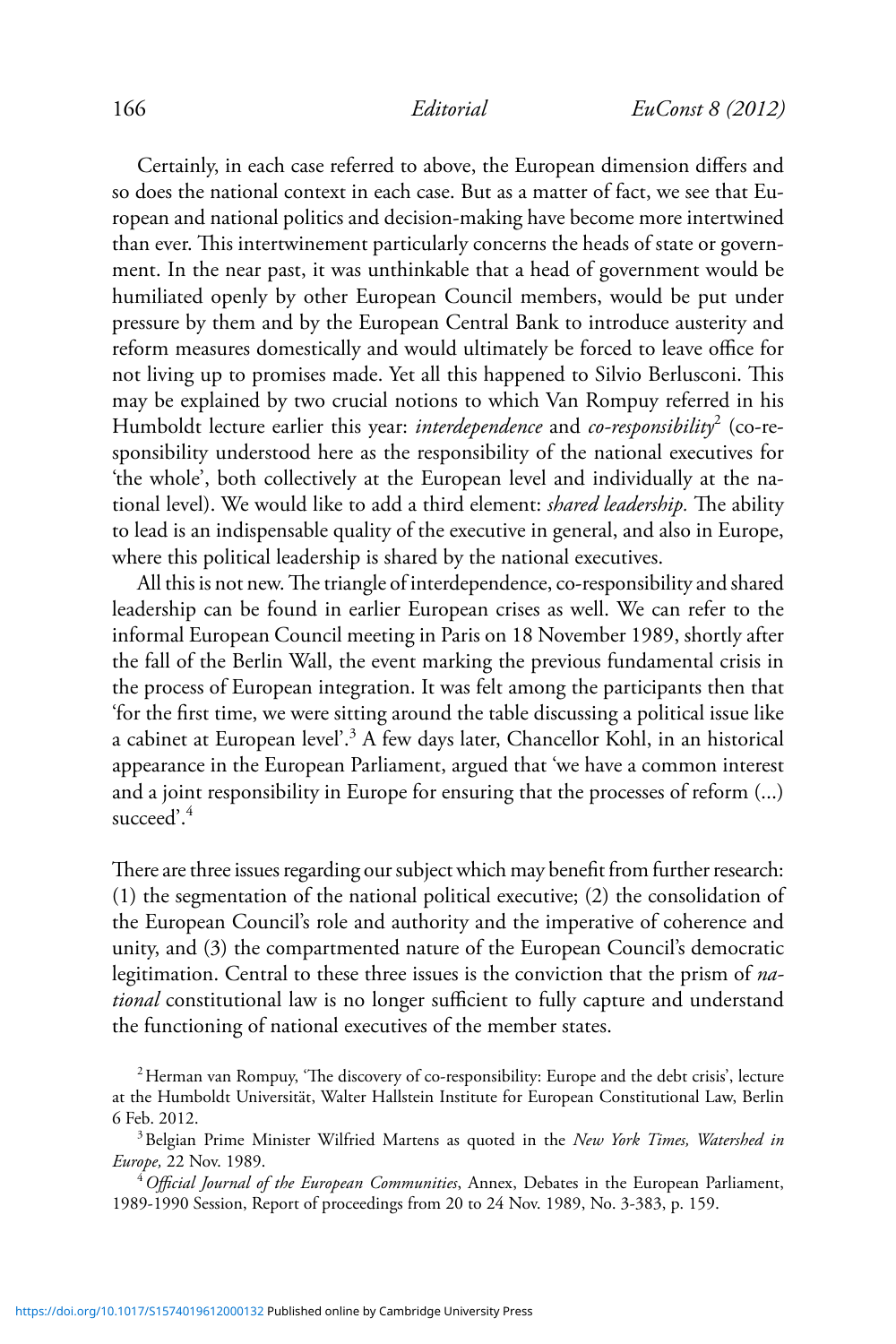Certainly, in each case referred to above, the European dimension differs and so does the national context in each case. But as a matter of fact, we see that European and national politics and decision-making have become more intertwined than ever. This intertwinement particularly concerns the heads of state or government. In the near past, it was unthinkable that a head of government would be humiliated openly by other European Council members, would be put under pressure by them and by the European Central Bank to introduce austerity and reform measures domestically and would ultimately be forced to leave office for not living up to promises made. Yet all this happened to Silvio Berlusconi. This may be explained by two crucial notions to which Van Rompuy referred in his Humboldt lecture earlier this year: *interdependence* and *co-responsibility*<sup>2</sup> (co-responsibility understood here as the responsibility of the national executives for 'the whole', both collectively at the European level and individually at the national level). We would like to add a third element: *shared leadership*. The ability to lead is an indispensable quality of the executive in general, and also in Europe, where this political leadership is shared by the national executives.

All this is not new. The triangle of interdependence, co-responsibility and shared leadership can be found in earlier European crises as well. We can refer to the informal European Council meeting in Paris on 18 November 1989, shortly after the fall of the Berlin Wall, the event marking the previous fundamental crisis in the process of European integration. It was felt among the participants then that 'for the first time, we were sitting around the table discussing a political issue like a cabinet at European level'.<sup>3</sup> A few days later, Chancellor Kohl, in an historical appearance in the European Parliament, argued that 'we have a common interest and a joint responsibility in Europe for ensuring that the processes of reform (...) succeed'.<sup>4</sup>

There are three issues regarding our subject which may benefit from further research: (1) the segmentation of the national political executive; (2) the consolidation of the European Council's role and authority and the imperative of coherence and unity, and (3) the compartmented nature of the European Council's democratic legitimation. Central to these three issues is the conviction that the prism of *national* constitutional law is no longer sufficient to fully capture and understand the functioning of national executives of the member states.

 $^2$ Herman van Rompuy, 'The discovery of co-responsibility: Europe and the debt crisis', lecture at the Humboldt Universität, Walter Hallstein Institute for European Constitutional Law, Berlin 6 Feb. 2012.

3 Belgian Prime Minister Wilfried Martens as quoted in the *New York Times, Watershed in Europe,* 22 Nov. 1989.

<sup>4</sup> Official Journal of the European Communities, Annex, Debates in the European Parliament, 1989-1990 Session, Report of proceedings from 20 to 24 Nov. 1989, No. 3-383, p. 159.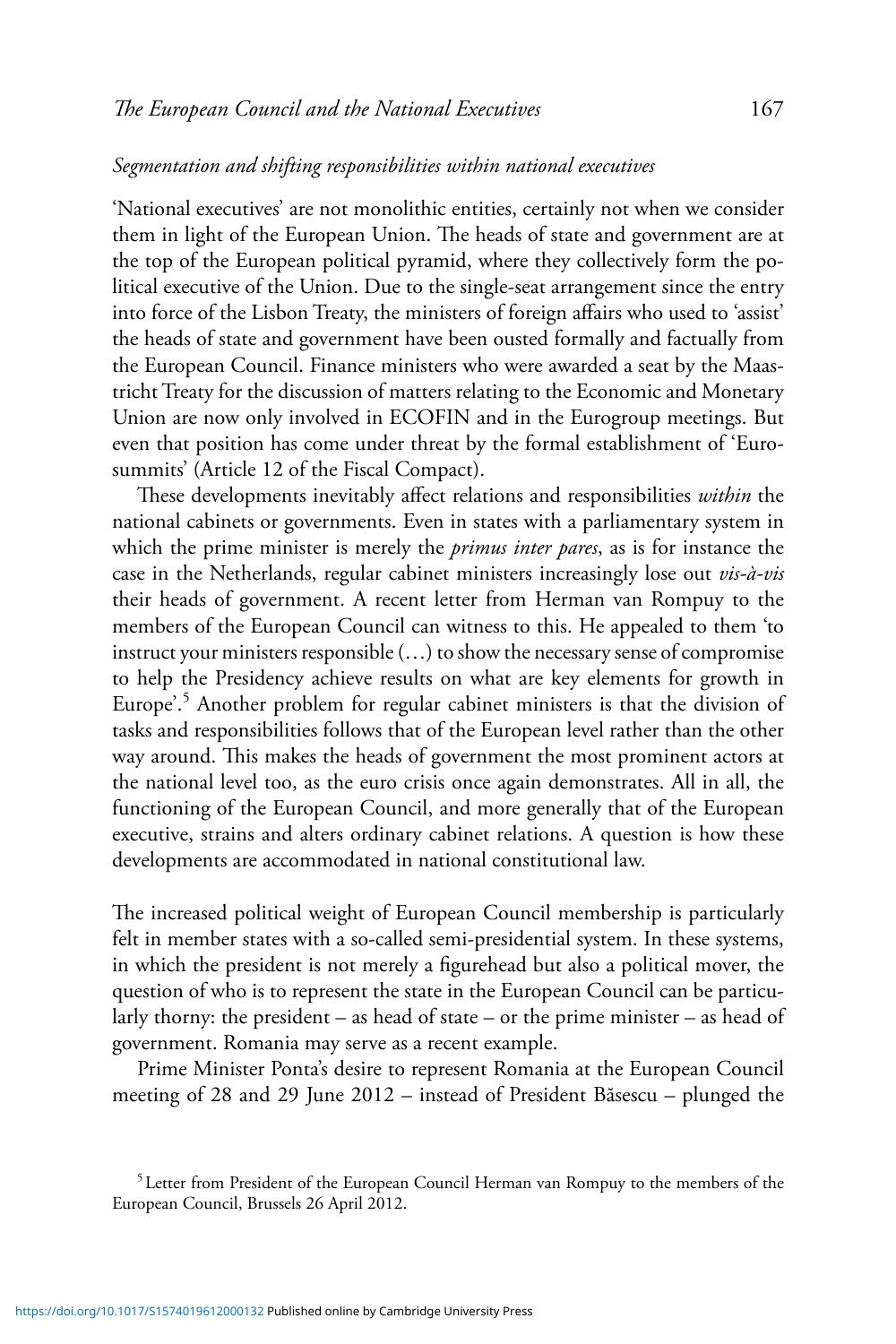### *Segmentation and shifting responsibilities within national executives*

'National executives' are not monolithic entities, certainly not when we consider them in light of the European Union. The heads of state and government are at the top of the European political pyramid, where they collectively form the political executive of the Union. Due to the single-seat arrangement since the entry into force of the Lisbon Treaty, the ministers of foreign affairs who used to 'assist' the heads of state and government have been ousted formally and factually from the European Council. Finance ministers who were awarded a seat by the Maastricht Treaty for the discussion of matters relating to the Economic and Monetary Union are now only involved in ECOFIN and in the Eurogroup meetings. But even that position has come under threat by the formal establishment of 'Eurosummits' (Article 12 of the Fiscal Compact).

These developments inevitably affect relations and responsibilities *within* the national cabinets or governments. Even in states with a parliamentary system in which the prime minister is merely the *primus inter pares*, as is for instance the case in the Netherlands, regular cabinet ministers increasingly lose out *vis-à-vis* their heads of government. A recent letter from Herman van Rompuy to the members of the European Council can witness to this. He appealed to them 'to instruct your ministers responsible (…) to show the necessary sense of compromise to help the Presidency achieve results on what are key elements for growth in Europe'.<sup>5</sup> Another problem for regular cabinet ministers is that the division of tasks and responsibilities follows that of the European level rather than the other way around. This makes the heads of government the most prominent actors at the national level too, as the euro crisis once again demonstrates. All in all, the functioning of the European Council, and more generally that of the European executive, strains and alters ordinary cabinet relations. A question is how these developments are accommodated in national constitutional law.

The increased political weight of European Council membership is particularly felt in member states with a so-called semi-presidential system. In these systems, in which the president is not merely a figurehead but also a political mover, the question of who is to represent the state in the European Council can be particularly thorny: the president – as head of state – or the prime minister – as head of government. Romania may serve as a recent example.

Prime Minister Ponta's desire to represent Romania at the European Council meeting of 28 and 29 June 2012 – instead of President Băsescu – plunged the

<sup>&</sup>lt;sup>5</sup> Letter from President of the European Council Herman van Rompuy to the members of the European Council, Brussels 26 April 2012.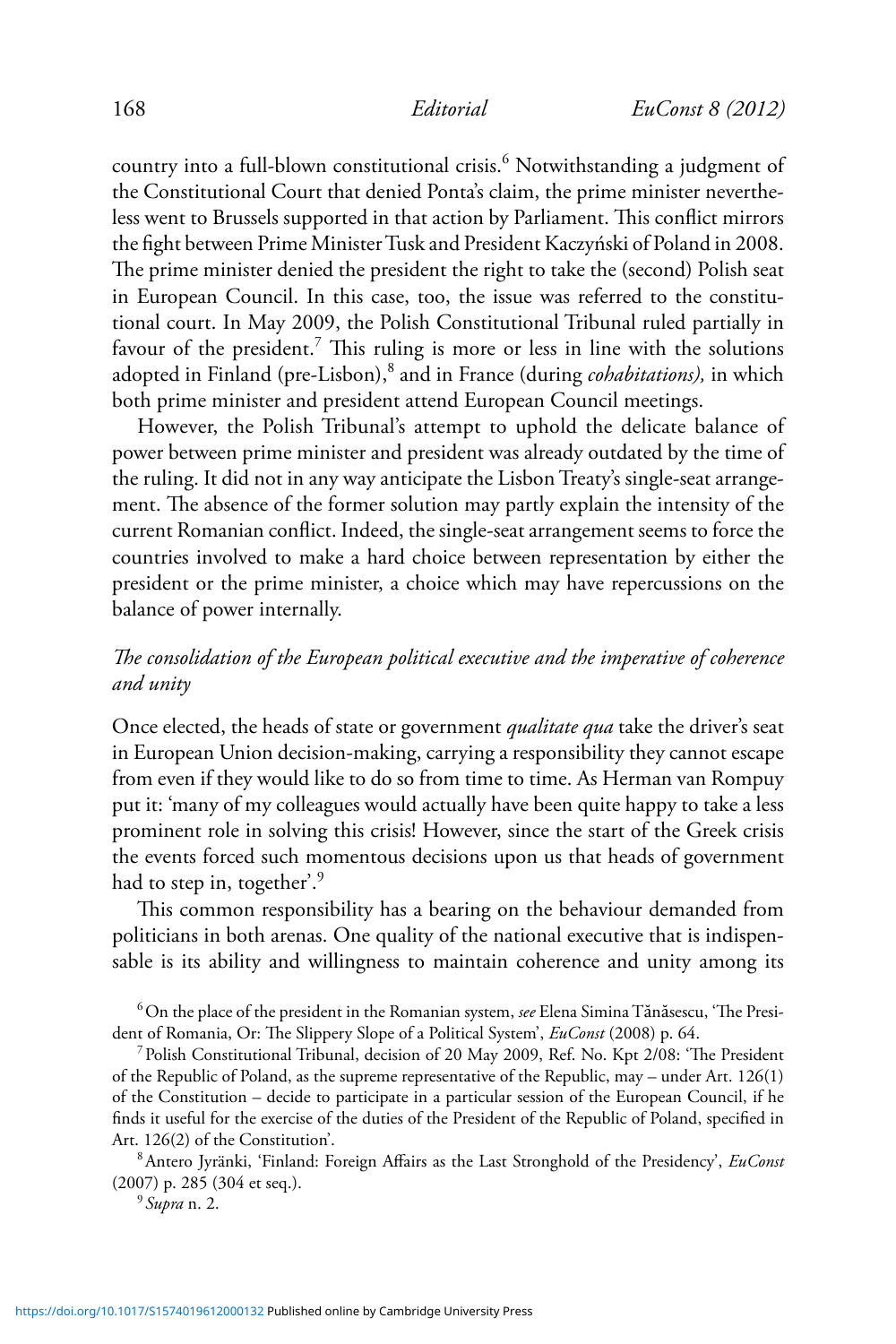country into a full-blown constitutional crisis. $^6$  Notwithstanding a judgment of the Constitutional Court that denied Ponta's claim, the prime minister nevertheless went to Brussels supported in that action by Parliament. This conflict mirrors the fight between Prime Minister Tusk and President Kaczyński of Poland in 2008. The prime minister denied the president the right to take the (second) Polish seat in European Council. In this case, too, the issue was referred to the constitutional court. In May 2009, the Polish Constitutional Tribunal ruled partially in favour of the president.<sup>7</sup> This ruling is more or less in line with the solutions adopted in Finland (pre-Lisbon),<sup>8</sup> and in France (during *cohabitations)*, in which both prime minister and president attend European Council meetings.

However, the Polish Tribunal's attempt to uphold the delicate balance of power between prime minister and president was already outdated by the time of the ruling. It did not in any way anticipate the Lisbon Treaty's single-seat arrangement. The absence of the former solution may partly explain the intensity of the current Romanian conflict. Indeed, the single-seat arrangement seems to force the countries involved to make a hard choice between representation by either the president or the prime minister, a choice which may have repercussions on the balance of power internally.

# The consolidation of the European political executive and the imperative of coherence *and unity*

Once elected, the heads of state or government *qualitate qua* take the driver's seat in European Union decision-making, carrying a responsibility they cannot escape from even if they would like to do so from time to time. As Herman van Rompuy put it: 'many of my colleagues would actually have been quite happy to take a less prominent role in solving this crisis! However, since the start of the Greek crisis the events forced such momentous decisions upon us that heads of government had to step in, together'.<sup>9</sup>

This common responsibility has a bearing on the behaviour demanded from politicians in both arenas. One quality of the national executive that is indispensable is its ability and willingness to maintain coherence and unity among its

 $^6$ On the place of the president in the Romanian system, *see* Elena Simina Tănăsescu, 'The President of Romania, Or: The Slippery Slope of a Political System', *EuConst* (2008) p. 64.

<sup>7</sup> Polish Constitutional Tribunal, decision of 20 May 2009, Ref. No. Kpt 2/08: 'The President of the Republic of Poland, as the supreme representative of the Republic, may – under Art. 126(1) of the Constitution – decide to participate in a particular session of the European Council, if he finds it useful for the exercise of the duties of the President of the Republic of Poland, specified in Art. 126(2) of the Constitution'.

 ${}^{8}$ Antero Jyränki, 'Finland: Foreign Affairs as the Last Stronghold of the Presidency', *EuConst* (2007) p. 285 (304 et seq.).

<sup>9</sup> *Supra* n. 2.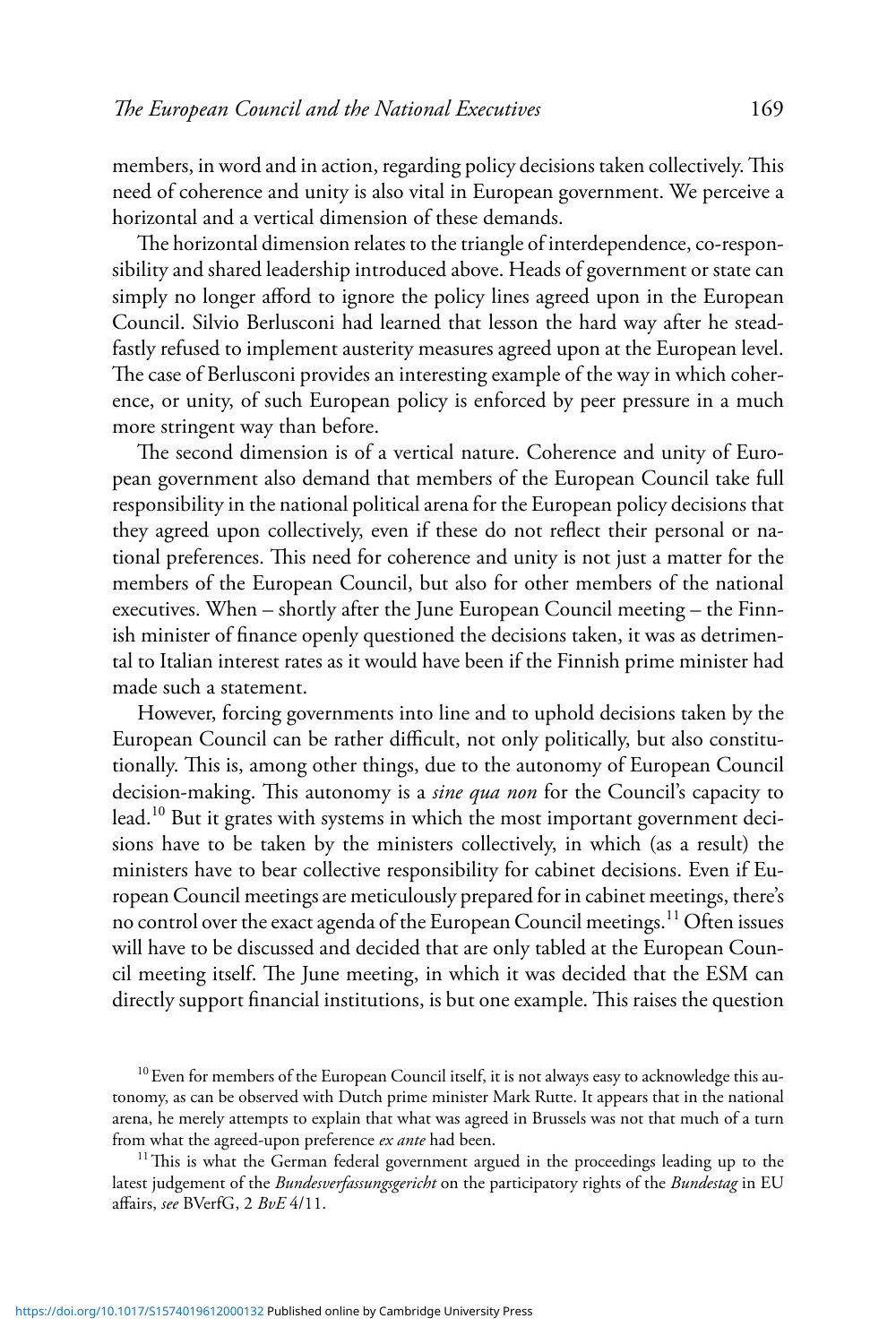members, in word and in action, regarding policy decisions taken collectively. This need of coherence and unity is also vital in European government. We perceive a horizontal and a vertical dimension of these demands.

The horizontal dimension relates to the triangle of interdependence, co-responsibility and shared leadership introduced above. Heads of government or state can simply no longer afford to ignore the policy lines agreed upon in the European Council. Silvio Berlusconi had learned that lesson the hard way after he steadfastly refused to implement austerity measures agreed upon at the European level. The case of Berlusconi provides an interesting example of the way in which coherence, or unity, of such European policy is enforced by peer pressure in a much more stringent way than before.

The second dimension is of a vertical nature. Coherence and unity of European government also demand that members of the European Council take full responsibility in the national political arena for the European policy decisions that they agreed upon collectively, even if these do not reflect their personal or national preferences. This need for coherence and unity is not just a matter for the members of the European Council, but also for other members of the national executives. When – shortly after the June European Council meeting – the Finnish minister of finance openly questioned the decisions taken, it was as detrimental to Italian interest rates as it would have been if the Finnish prime minister had made such a statement.

However, forcing governments into line and to uphold decisions taken by the European Council can be rather difficult, not only politically, but also constitutionally. This is, among other things, due to the autonomy of European Council decision-making. This autonomy is a *sine qua non* for the Council's capacity to lead.<sup>10</sup> But it grates with systems in which the most important government decisions have to be taken by the ministers collectively, in which (as a result) the ministers have to bear collective responsibility for cabinet decisions. Even if European Council meetings are meticulously prepared for in cabinet meetings, there's no control over the exact agenda of the European Council meetings.<sup>11</sup> Often issues will have to be discussed and decided that are only tabled at the European Council meeting itself. The June meeting, in which it was decided that the ESM can directly support financial institutions, is but one example. This raises the question

<sup>10</sup> Even for members of the European Council itself, it is not always easy to acknowledge this autonomy, as can be observed with Dutch prime minister Mark Rutte. It appears that in the national arena, he merely attempts to explain that what was agreed in Brussels was not that much of a turn from what the agreed-upon preference *ex ante* had been.<br><sup>11</sup> This is what the German federal government argued in the proceedings leading up to the

latest judgement of the *Bundesverfassungsgericht* on the participatory rights of the *Bundestag* in EU aff airs, *see* BVerfG, 2 *BvE* 4/11.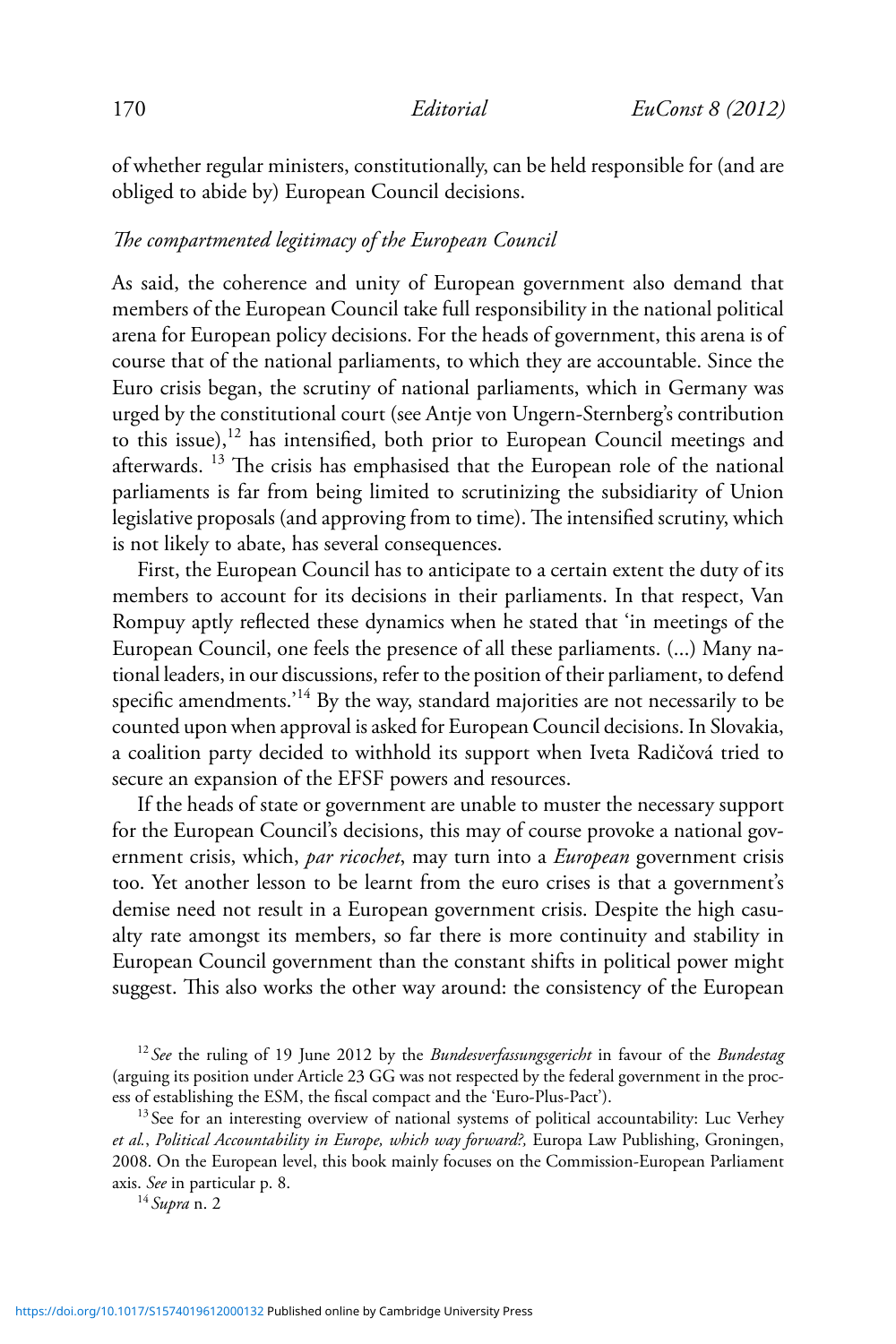of whether regular ministers, constitutionally, can be held responsible for (and are obliged to abide by) European Council decisions.

### The compartmented legitimacy of the European Council

As said, the coherence and unity of European government also demand that members of the European Council take full responsibility in the national political arena for European policy decisions. For the heads of government, this arena is of course that of the national parliaments, to which they are accountable. Since the Euro crisis began, the scrutiny of national parliaments, which in Germany was urged by the constitutional court (see Antje von Ungern-Sternberg's contribution to this issue), $12$  has intensified, both prior to European Council meetings and afterwards.  $^{13}$  The crisis has emphasised that the European role of the national parliaments is far from being limited to scrutinizing the subsidiarity of Union legislative proposals (and approving from to time). The intensified scrutiny, which is not likely to abate, has several consequences.

First, the European Council has to anticipate to a certain extent the duty of its members to account for its decisions in their parliaments. In that respect, Van Rompuy aptly reflected these dynamics when he stated that 'in meetings of the European Council, one feels the presence of all these parliaments. (...) Many national leaders, in our discussions, refer to the position of their parliament, to defend specific amendments.<sup>'14</sup> By the way, standard majorities are not necessarily to be counted upon when approval is asked for European Council decisions. In Slovakia, a coalition party decided to withhold its support when Iveta Radičová tried to secure an expansion of the EFSF powers and resources.

If the heads of state or government are unable to muster the necessary support for the European Council's decisions, this may of course provoke a national government crisis, which, *par ricochet*, may turn into a *European* government crisis too. Yet another lesson to be learnt from the euro crises is that a government's demise need not result in a European government crisis. Despite the high casualty rate amongst its members, so far there is more continuity and stability in European Council government than the constant shifts in political power might suggest. This also works the other way around: the consistency of the European

<sup>12</sup> *See* the ruling of 19 June 2012 by the *Bundesverfassungsgericht* in favour of the *Bundestag* (arguing its position under Article 23 GG was not respected by the federal government in the process of establishing the ESM, the fiscal compact and the 'Euro-Plus-Pact').<br><sup>13</sup> See for an interesting overview of national systems of political accountability: Luc Verhey

*et al.*, *Political Accountability in Europe, which way forward?,* Europa Law Publishing, Groningen, 2008. On the European level, this book mainly focuses on the Commission-European Parliament axis. *See* in particular p. 8.

<sup>14</sup> *Supra* n. 2